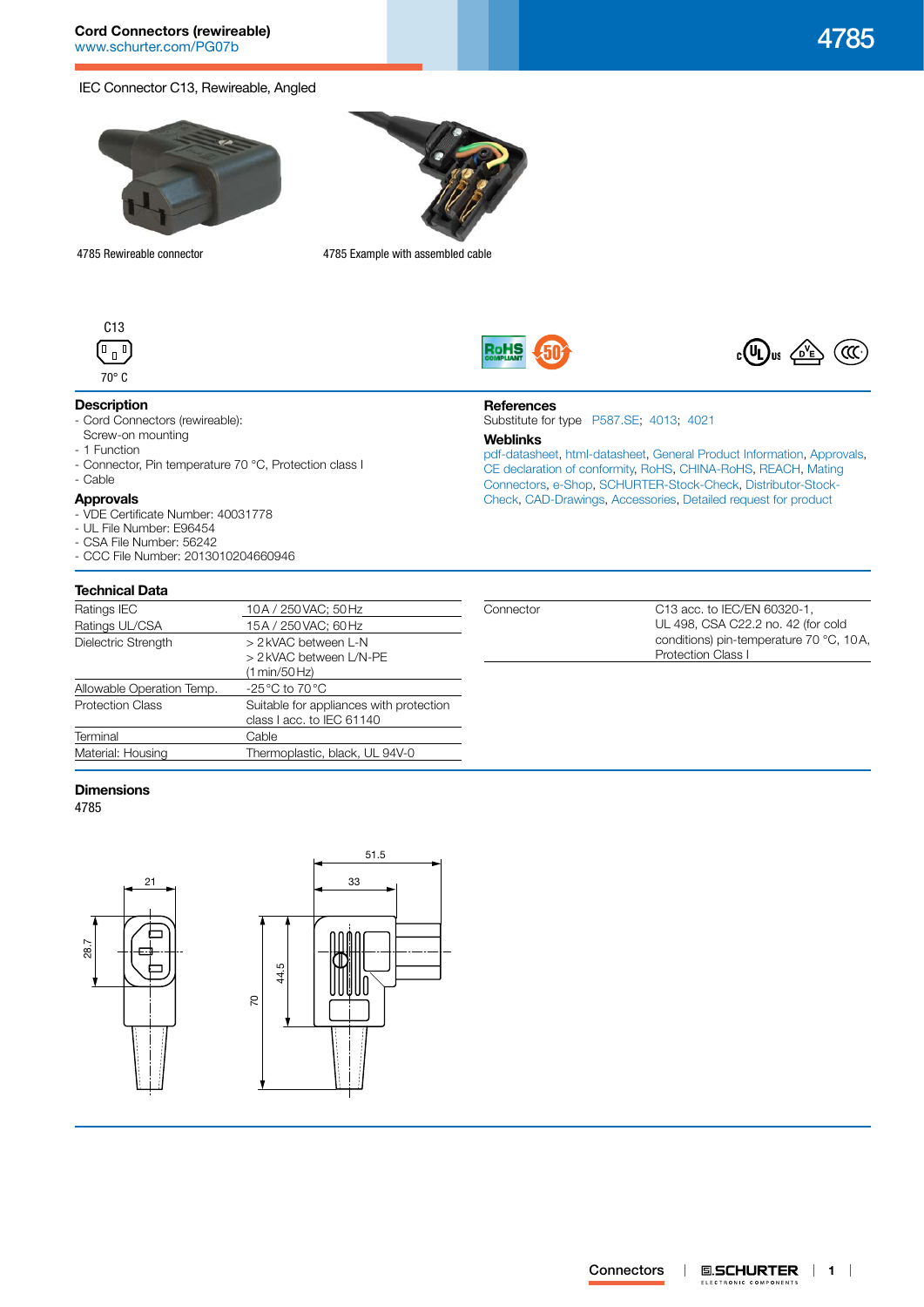# **Cord Connectors (rewireable)** [www.schurter.com/PG07b](http://www.schurter.com/PG07b) 4785

# IEC Connector C13, Rewireable, Angled



4785 Rewireable connector 4785 Example with assembled cable



# **Description**

- Cord Connectors (rewireable):
- Screw-on mounting
- 1 Function
- Connector, Pin temperature 70 °C, Protection class I

# - Cable

- **Approvals**
- VDE Certificate Number: 40031778
- UL File Number: E96454
- CSA File Number: 56242
- CCC File Number: 2013010204660946

# **Technical Data**

| Ratings IEC               | 10A / 250 VAC; 50 Hz                                                 |
|---------------------------|----------------------------------------------------------------------|
| Ratings UL/CSA            | 15A / 250 VAC; 60 Hz                                                 |
| Dielectric Strength       | > 2 kVAC between L-N                                                 |
|                           | > 2 kVAC between L/N-PE                                              |
|                           | (1 min/50 Hz)                                                        |
| Allowable Operation Temp. | -25 °C to 70 °C                                                      |
| <b>Protection Class</b>   | Suitable for appliances with protection<br>class I acc. to IEC 61140 |
|                           |                                                                      |
| Terminal                  | Cable                                                                |
| Material: Housing         | Thermoplastic, black, UL 94V-0                                       |
|                           |                                                                      |

### **Dimensions**

4785









# **References**

Substitute for type [P587.SE;](http://www.schurter.ch/pdf/english/typ_P587.SE.pdf) [4013](http://www.schurter.ch/pdf/english/typ_4013.pdf); [4021](http://www.schurter.ch/pdf/english/typ_4021.pdf)

### **Weblinks**

[pdf-datasheet](http://www.schurter.ch/pdf/english/typ_4785.pdf), [html-datasheet](http://www.schurter.ch/en/datasheet/4785), [General Product Information,](http://www.schurter.ch/products/iec_connector_overview.asp) [Approvals](http://www.schurter.ch/en/Documents-References/Approvals/(id)/4785), [CE declaration of conformity,](http://www.schurter.com/en/Documents-References/Approvals/(id)/4785+AND+FIELD+CertificationInstitute=SAG) [RoHS](http://www.schurter.ch/company/rohs.asp), [CHINA-RoHS](http://www.schurter.ch/company/china_rohs.asp), [REACH,](http://www.schurter.ch/REACH) [Mating](http://www.schurter.ch/Components/Connectors/Mating-Connectors)  [Connectors,](http://www.schurter.ch/Components/Connectors/Mating-Connectors) [e-Shop,](http://www.schurter.ch/en/datasheet/4785#Anker_Variants) [SCHURTER-Stock-Check](http://www.schurter.ch/en/Stock-Check/Stock-Check-SCHURTER?MAKTX=4785&COM_QTY=1&AUTOSEARCH=true), [Distributor-Stock-](http://www.schurter.com/en/Stock-Check/Stock-Check-Distributor?partnumber1=4785)[Check](http://www.schurter.com/en/Stock-Check/Stock-Check-Distributor?partnumber1=4785), [CAD-Drawings,](http://www.schurter.com/support/iframe_cad.asp?SearchText=4785&ConfirmButton&SearchFilter=Type) [Accessories,](http://www.schurter.ch/wwwsc/con_z01.asp) [Detailed request for product](http://www.schurter.com/en/Contacts/Contact-Form?type=4785)

| Connector | C13 acc. to IEC/EN 60320-1.             |
|-----------|-----------------------------------------|
|           | UL 498, CSA C22.2 no. 42 (for cold      |
|           | conditions) pin-temperature 70 °C, 10A, |
|           | <b>Protection Class I</b>               |
|           |                                         |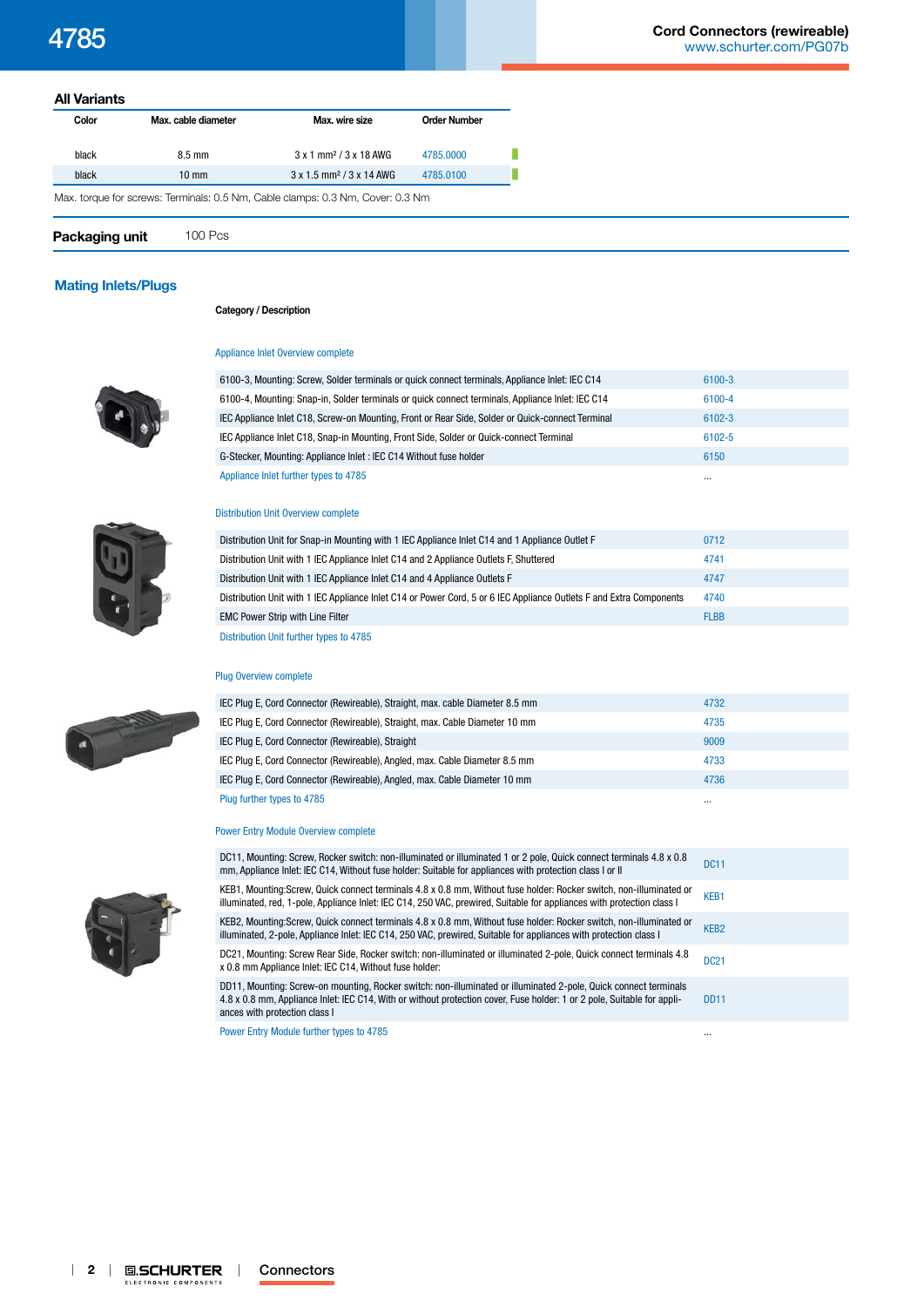| <b>All Variants</b> |                     |                                                                                |                     |  |
|---------------------|---------------------|--------------------------------------------------------------------------------|---------------------|--|
| Color               | Max. cable diameter | Max. wire size                                                                 | <b>Order Number</b> |  |
| black               | $8.5 \text{ mm}$    | $3 \times 1$ mm <sup>2</sup> / $3 \times 18$ AWG                               | 4785,0000           |  |
| black               | $10 \text{ mm}$     | $3 \times 1.5$ mm <sup>2</sup> / $3 \times 14$ AWG                             | 4785.0100           |  |
|                     |                     | Max. torque for screws: Terminals: 0.5 Nm, Cable clamps: 0.3 Nm, Cover: 0.3 Nm |                     |  |
| Packaging unit      | <b>100 Pcs</b>      |                                                                                |                     |  |

# **[Mating Inlets/Plugs](http://www.schurter.ch/Components/Connectors/Mating-Connectors?out_type=4785)**

### **Category / Description**



[Appliance Inlet Overview complete](http://www.schurter.ch/pg07)



| 6100-3, Mounting: Screw, Solder terminals or quick connect terminals, Appliance Inlet: IEC C14   | 6100-3   |
|--------------------------------------------------------------------------------------------------|----------|
| 6100-4, Mounting: Snap-in, Solder terminals or quick connect terminals, Appliance Inlet: IEC C14 | 6100-4   |
| IEC Appliance Inlet C18, Screw-on Mounting, Front or Rear Side, Solder or Quick-connect Terminal | 6102-3   |
| IEC Appliance Inlet C18, Snap-in Mounting, Front Side, Solder or Quick-connect Terminal          | 6102-5   |
| G-Stecker, Mounting: Appliance Inlet : IEC C14 Without fuse holder                               | 6150     |
| Appliance Inlet further types to 4785                                                            | $\cdots$ |

### [Distribution Unit Overview complete](http://www.schurter.ch/pg07_1)

| Distribution Unit for Snap-in Mounting with 1 IEC Appliance Inlet C14 and 1 Appliance Outlet F                      | 0712        |  |
|---------------------------------------------------------------------------------------------------------------------|-------------|--|
| Distribution Unit with 1 IEC Appliance Inlet C14 and 2 Appliance Outlets F. Shuttered                               | 4741        |  |
| Distribution Unit with 1 IEC Appliance Inlet C14 and 4 Appliance Outlets F                                          | 4747        |  |
| Distribution Unit with 1 IEC Appliance Inlet C14 or Power Cord, 5 or 6 IEC Appliance Outlets F and Extra Components | 4740        |  |
| <b>EMC Power Strip with Line Filter</b>                                                                             | <b>FLBB</b> |  |
|                                                                                                                     |             |  |

[Distribution Unit further types to 4785](http://www.schurter.ch/Components/Connectors/Mating-Connectors?out_type=4785&in_product_group=pg07_1)

### [Plug Overview complete](http://www.schurter.ch/pg07b)

| IEC Plug E, Cord Connector (Rewireable), Straight, max. cable Diameter 8.5 mm | 4732     |  |
|-------------------------------------------------------------------------------|----------|--|
| IEC Plug E, Cord Connector (Rewireable), Straight, max. Cable Diameter 10 mm  | 4735     |  |
| IEC Plug E, Cord Connector (Rewireable), Straight                             | 9009     |  |
| IEC Plug E, Cord Connector (Rewireable), Angled, max. Cable Diameter 8.5 mm   | 4733     |  |
| IEC Plug E, Cord Connector (Rewireable), Angled, max. Cable Diameter 10 mm    | 4736     |  |
| Plug further types to 4785                                                    | $\cdots$ |  |

### [Power Entry Module Overview complete](http://www.schurter.ch/pg05)



DC11, Mounting: Screw, Rocker switch: non-illuminated or illuminated 1 or 2 pole, Quick connect terminals 4.8 x 0.8 [DC11](http://www.schurter.ch/datasheet/DC11), Mounting: Screw, Rocker switch: non-illuminated or illuminated 1 or 2 pole, Quick connect terminals 4.8 x 0.8 DC11<br>mm, Appliance Inlet: IEC C14, Without fuse holder: Suitable for appliances with protection class I or KEB1, Mounting:Screw, Quick connect terminals 4.8 x 0.8 mm, Without fuse holder: Rocker switch, non-illuminated or KEBT, MOUNTING:SCREW, QUICK CONNECT terminals 4.8 X 0.8 mm, Without fuse holder: Hocker Switch, hon-liluminated or<br>Illuminated, red, 1-pole, Appliance Inlet: IEC C14, 250 VAC, prewired, Suitable for appliances with protect KEB2, Mounting:Screw, Quick connect terminals 4.8 x 0.8 mm, Without fuse holder: Rocker switch, non-illuminated or [KEB2](http://www.schurter.ch/datasheet/KEB2), Mounting:Screw, Quick connect terminals 4.8 x 0.8 mm, Without fuse holder: Rocker switch, non-illuminated or<br>illuminated, 2-pole, Appliance Inlet: IEC C14, 250 VAC, prewired, Suitable for appliances with protection c DC21, Mounting: Screw Rear Side, Rocker switch: non-illuminated or illuminated 2-pole, Quick connect terminals 4.8 [DC21](http://www.schurter.ch/datasheet/DC21), Mounting: Screw Rear Side, Rocker switch: non-illuminated or illuminated 2-pole, Quick connect terminals 4.8 DC21<br>x 0.8 mm Appliance Inlet: IEC C14, Without fuse holder: DD11, Mounting: Screw-on mounting, Rocker switch: non-illuminated or illuminated 2-pole, Quick connect terminals 4.8 x 0.8 mm, Appliance Inlet: IEC C14, With or without protection cover, Fuse holder: 1 or 2 pole, Suitable for appliances with protection class I [DD11](http://www.schurter.ch/datasheet/DD11)

[Power Entry Module further types to 4785](http://www.schurter.ch/Components/Connectors/Mating-Connectors?out_type=4785&in_product_group=pg05)